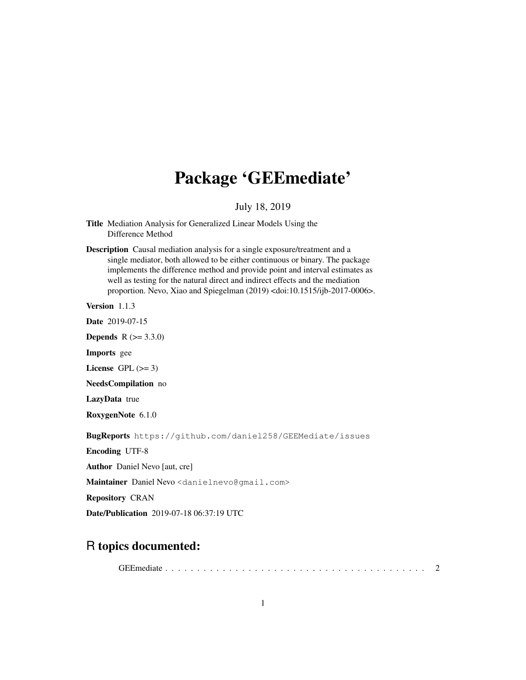# Package 'GEEmediate'

July 18, 2019

Title Mediation Analysis for Generalized Linear Models Using the Difference Method

Description Causal mediation analysis for a single exposure/treatment and a single mediator, both allowed to be either continuous or binary. The package implements the difference method and provide point and interval estimates as well as testing for the natural direct and indirect effects and the mediation proportion. Nevo, Xiao and Spiegelman (2019) <doi:10.1515/ijb-2017-0006>.

Version 1.1.3

Date 2019-07-15

**Depends**  $R (= 3.3.0)$ 

Imports gee

License GPL  $(>= 3)$ 

NeedsCompilation no

LazyData true

RoxygenNote 6.1.0

BugReports https://github.com/daniel258/GEEMediate/issues

Encoding UTF-8

Author Daniel Nevo [aut, cre]

Maintainer Daniel Nevo <danielnevo@gmail.com>

Repository CRAN

Date/Publication 2019-07-18 06:37:19 UTC

# R topics documented:

GEEmediate . . . . . . . . . . . . . . . . . . . . . . . . . . . . . . . . . . . . . . . . . 2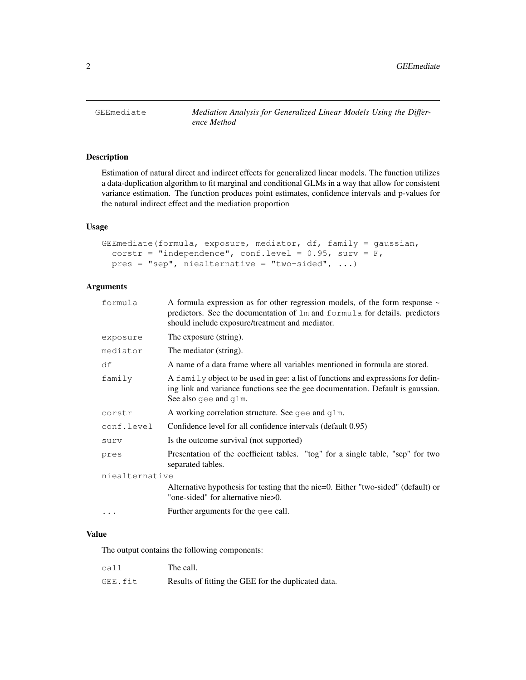## Description

Estimation of natural direct and indirect effects for generalized linear models. The function utilizes a data-duplication algorithm to fit marginal and conditional GLMs in a way that allow for consistent variance estimation. The function produces point estimates, confidence intervals and p-values for the natural indirect effect and the mediation proportion

### Usage

```
GEEmediate(formula, exposure, mediator, df, family = gaussian,
  corstr = "independence", conf.level = 0.95, surv = F,
  pres = "sep", \ninealternative = "two-sided", ...)
```
# Arguments

| formula        | A formula expression as for other regression models, of the form response $\sim$<br>predictors. See the documentation of 1m and formula for details. predictors<br>should include exposure/treatment and mediator. |
|----------------|--------------------------------------------------------------------------------------------------------------------------------------------------------------------------------------------------------------------|
| exposure       | The exposure (string).                                                                                                                                                                                             |
| mediator       | The mediator (string).                                                                                                                                                                                             |
| df             | A name of a data frame where all variables mentioned in formula are stored.                                                                                                                                        |
| family         | A family object to be used in gee: a list of functions and expressions for defin-<br>ing link and variance functions see the gee documentation. Default is gaussian.<br>See also gee and $q \text{1m}$ .           |
| corstr         | A working correlation structure. See $qee$ and $qlm$ .                                                                                                                                                             |
| conf.level     | Confidence level for all confidence intervals (default 0.95)                                                                                                                                                       |
| surv           | Is the outcome survival (not supported)                                                                                                                                                                            |
| pres           | Presentation of the coefficient tables. "tog" for a single table, "sep" for two<br>separated tables.                                                                                                               |
| niealternative |                                                                                                                                                                                                                    |
|                | Alternative hypothesis for testing that the nie=0. Either "two-sided" (default) or<br>"one-sided" for alternative nie>0.                                                                                           |
|                | Further arguments for the gee call.                                                                                                                                                                                |
|                |                                                                                                                                                                                                                    |

### Value

The output contains the following components:

| call    | The call.                                           |
|---------|-----------------------------------------------------|
| GEE.fit | Results of fitting the GEE for the duplicated data. |